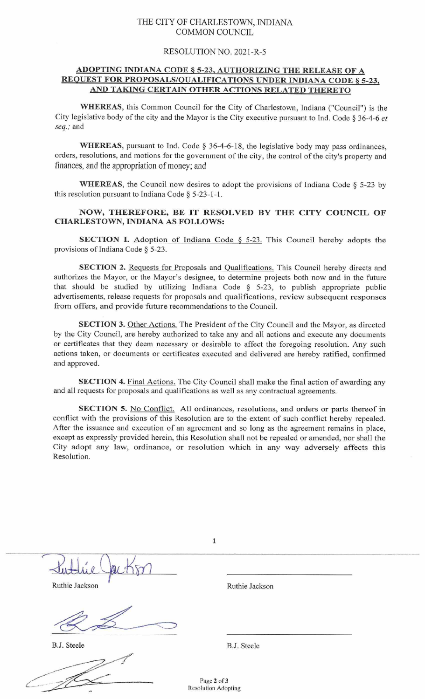## THE CITY OF CHARLESTOWN, INDIANA COMMON COUNCIL

## RESOLUTION NO. 2021-R-5

## ADOPTING INDIANA CODE \$ 5-23. AUTHORIZING THE RELEASE OF A REQUEST FOR PROPOSALS/OUALIFICATIONS UNDER INDIANA CODE \$ 5-23. AND TAKING CERTAIN OTHER ACTIONS RELATED THERETO

WHEREAS, this Common Council for the City of Charlestown, Indiana ("Council") is the City legislative body of the city and the Mayor is the City executive pursuant to Ind. Code § 36-4-6 et *seq.;* and

WHEREAS, pursuant to Ind. Code § 36-4-6-18, the legislative body may pass ordinances, orders, resolutions, and motions for the government of the city, the control of the city's property and finances, and the appropriation of money; and

WHEREAS, the Council now desires to adopt the provisions of Indiana Code § 5-23 by this resolution pursuant to Indiana Code § 5-23-1-1.

## NOW, THEREFORE, BE IT RESOLVED BY THE CITY COUNCIL OF CHARLESTOWN, INDIANA AS FOLLOWS:

**SECTION I.** Adoption of Indiana Code  $\S$  5-23. This Council hereby adopts the provisions of Indiana Code  $\S$  5-23.

SECTION 2. Requests for Proposals and Qualifications. This Council hereby directs and authorizes the Mayor, or the Mayor's designee, to determine projects both now and in the future that should be studied by utilizing Indiana Code  $\S$  5-23, to publish appropriate public advertisements, release requests for proposals and qualifications, review subsequent responses from offers, and provide future recommendations to the Council.

SECTION 3. Other Actions. The President of the City Council and the Mayor, as directed by the City Council, are hereby authorized to take any and all actions and execute any documents or certificates that they deem necessary or desirable to affect the foregoing resolution. Any such actions taken, or documents or certificates executed and delivered are hereby ratified, confinned and approved.

SECTION 4. Final Actions. The City Council shall make the final action of awarding any and all requests for proposals and qualifications as well as any contractual agreements.

SECTION 5. No Conflict. All ordinances, resolutions, and orders or parts thereof in conflict with the provisions of this Resolution are to the extent of such conflict hereby repealed. After the issuance and execution of an agreement and so long as the agreement remains in place, except as expressly provided herein, this Resolution shall not be repealed or amended, nor shall the City adopt any law, ordinance, or resolution which in any way adversely affects this Resolution.

|                | $\mathbf 1$                        |  |
|----------------|------------------------------------|--|
|                |                                    |  |
| Ruthie Jackson | Ruthie Jackson                     |  |
|                |                                    |  |
| B.J. Steele    | B.J. Steele                        |  |
|                | Page 2 of 3<br>Resolution Adopting |  |
|                |                                    |  |